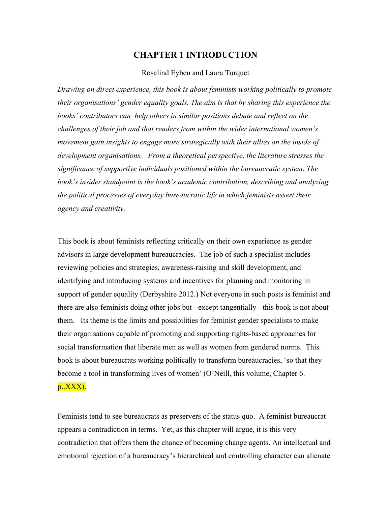## **CHAPTER 1 INTRODUCTION**

#### Rosalind Eyben and Laura Turquet

*Drawing on direct experience, this book is about feminists working politically to promote their organisations' gender equality goals. The aim is that by sharing this experience the books' contributors can help others in similar positions debate and reflect on the challenges of their job and that readers from within the wider international women's movement gain insights to engage more strategically with their allies on the inside of development organisations. From a theoretical perspective, the literature stresses the significance of supportive individuals positioned within the bureaucratic system. The book's insider standpoint is the book's academic contribution, describing and analyzing the political processes of everyday bureaucratic life in which feminists assert their agency and creativity.* 

This book is about feminists reflecting critically on their own experience as gender advisors in large development bureaucracies. The job of such a specialist includes reviewing policies and strategies, awareness-raising and skill development, and identifying and introducing systems and incentives for planning and monitoring in support of gender equality (Derbyshire 2012.) Not everyone in such posts is feminist and there are also feminists doing other jobs but - except tangentially - this book is not about them. Its theme is the limits and possibilities for feminist gender specialists to make their organisations capable of promoting and supporting rights-based approaches for social transformation that liberate men as well as women from gendered norms. This book is about bureaucrats working politically to transform bureaucracies, 'so that they become a tool in transforming lives of women' (O'Neill, this volume, Chapter 6. p..XXX).

Feminists tend to see bureaucrats as preservers of the status quo. A feminist bureaucrat appears a contradiction in terms. Yet, as this chapter will argue, it is this very contradiction that offers them the chance of becoming change agents. An intellectual and emotional rejection of a bureaucracy's hierarchical and controlling character can alienate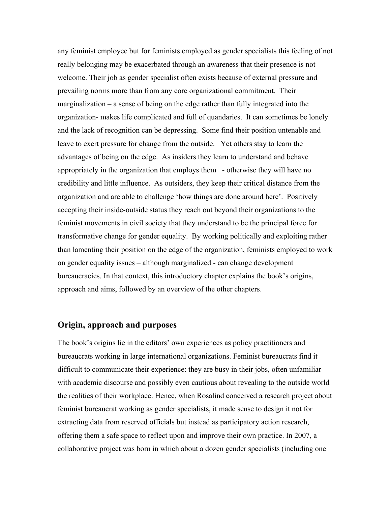any feminist employee but for feminists employed as gender specialists this feeling of not really belonging may be exacerbated through an awareness that their presence is not welcome. Their job as gender specialist often exists because of external pressure and prevailing norms more than from any core organizational commitment. Their marginalization – a sense of being on the edge rather than fully integrated into the organization- makes life complicated and full of quandaries. It can sometimes be lonely and the lack of recognition can be depressing. Some find their position untenable and leave to exert pressure for change from the outside. Yet others stay to learn the advantages of being on the edge. As insiders they learn to understand and behave appropriately in the organization that employs them - otherwise they will have no credibility and little influence. As outsiders, they keep their critical distance from the organization and are able to challenge 'how things are done around here'. Positively accepting their inside-outside status they reach out beyond their organizations to the feminist movements in civil society that they understand to be the principal force for transformative change for gender equality. By working politically and exploiting rather than lamenting their position on the edge of the organization, feminists employed to work on gender equality issues – although marginalized - can change development bureaucracies. In that context, this introductory chapter explains the book's origins, approach and aims, followed by an overview of the other chapters.

## **Origin, approach and purposes**

The book's origins lie in the editors' own experiences as policy practitioners and bureaucrats working in large international organizations. Feminist bureaucrats find it difficult to communicate their experience: they are busy in their jobs, often unfamiliar with academic discourse and possibly even cautious about revealing to the outside world the realities of their workplace. Hence, when Rosalind conceived a research project about feminist bureaucrat working as gender specialists, it made sense to design it not for extracting data from reserved officials but instead as participatory action research, offering them a safe space to reflect upon and improve their own practice. In 2007, a collaborative project was born in which about a dozen gender specialists (including one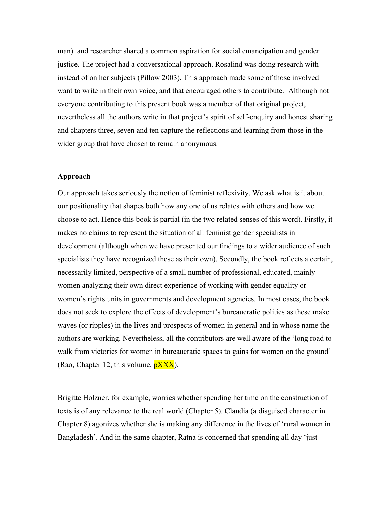man) and researcher shared a common aspiration for social emancipation and gender justice. The project had a conversational approach. Rosalind was doing research with instead of on her subjects (Pillow 2003). This approach made some of those involved want to write in their own voice, and that encouraged others to contribute. Although not everyone contributing to this present book was a member of that original project, nevertheless all the authors write in that project's spirit of self-enquiry and honest sharing and chapters three, seven and ten capture the reflections and learning from those in the wider group that have chosen to remain anonymous.

#### **Approach**

Our approach takes seriously the notion of feminist reflexivity. We ask what is it about our positionality that shapes both how any one of us relates with others and how we choose to act. Hence this book is partial (in the two related senses of this word). Firstly, it makes no claims to represent the situation of all feminist gender specialists in development (although when we have presented our findings to a wider audience of such specialists they have recognized these as their own). Secondly, the book reflects a certain, necessarily limited, perspective of a small number of professional, educated, mainly women analyzing their own direct experience of working with gender equality or women's rights units in governments and development agencies. In most cases, the book does not seek to explore the effects of development's bureaucratic politics as these make waves (or ripples) in the lives and prospects of women in general and in whose name the authors are working. Nevertheless, all the contributors are well aware of the 'long road to walk from victories for women in bureaucratic spaces to gains for women on the ground' (Rao, Chapter 12, this volume,  $\frac{pXXX}{pXXX}$ ).

Brigitte Holzner, for example, worries whether spending her time on the construction of texts is of any relevance to the real world (Chapter 5). Claudia (a disguised character in Chapter 8) agonizes whether she is making any difference in the lives of 'rural women in Bangladesh'. And in the same chapter, Ratna is concerned that spending all day 'just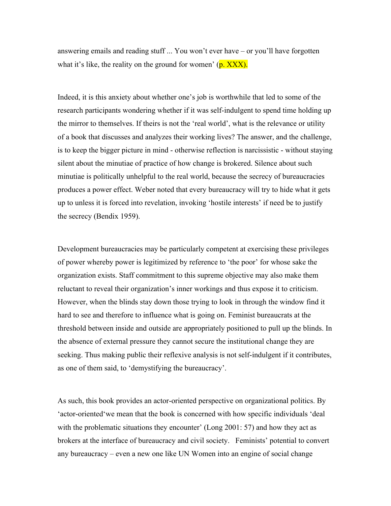answering emails and reading stuff ... You won't ever have – or you'll have forgotten what it's like, the reality on the ground for women'  $(p, XXX)$ .

Indeed, it is this anxiety about whether one's job is worthwhile that led to some of the research participants wondering whether if it was self-indulgent to spend time holding up the mirror to themselves. If theirs is not the 'real world', what is the relevance or utility of a book that discusses and analyzes their working lives? The answer, and the challenge, is to keep the bigger picture in mind - otherwise reflection is narcissistic - without staying silent about the minutiae of practice of how change is brokered. Silence about such minutiae is politically unhelpful to the real world, because the secrecy of bureaucracies produces a power effect. Weber noted that every bureaucracy will try to hide what it gets up to unless it is forced into revelation, invoking 'hostile interests' if need be to justify the secrecy (Bendix 1959).

Development bureaucracies may be particularly competent at exercising these privileges of power whereby power is legitimized by reference to 'the poor' for whose sake the organization exists. Staff commitment to this supreme objective may also make them reluctant to reveal their organization's inner workings and thus expose it to criticism. However, when the blinds stay down those trying to look in through the window find it hard to see and therefore to influence what is going on. Feminist bureaucrats at the threshold between inside and outside are appropriately positioned to pull up the blinds. In the absence of external pressure they cannot secure the institutional change they are seeking. Thus making public their reflexive analysis is not self-indulgent if it contributes, as one of them said, to 'demystifying the bureaucracy'.

As such, this book provides an actor-oriented perspective on organizational politics. By 'actor-oriented'we mean that the book is concerned with how specific individuals 'deal with the problematic situations they encounter' (Long 2001: 57) and how they act as brokers at the interface of bureaucracy and civil society. Feminists' potential to convert any bureaucracy – even a new one like UN Women into an engine of social change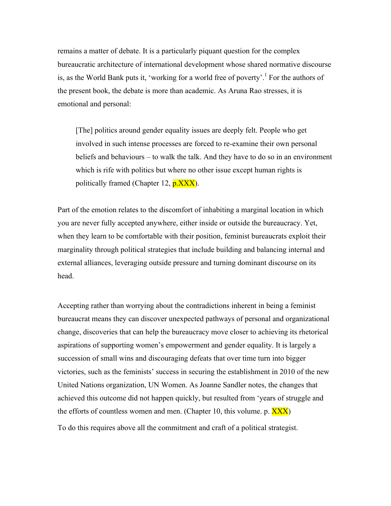remains a matter of debate. It is a particularly piquant question for the complex bureaucratic architecture of international development whose shared normative discourse is, as the World Bank puts it, 'working for a world free of poverty'.<sup>1</sup> For the authors of the present book, the debate is more than academic. As Aruna Rao stresses, it is emotional and personal:

[The] politics around gender equality issues are deeply felt. People who get involved in such intense processes are forced to re-examine their own personal beliefs and behaviours – to walk the talk. And they have to do so in an environment which is rife with politics but where no other issue except human rights is politically framed (Chapter 12, p.XXX).

Part of the emotion relates to the discomfort of inhabiting a marginal location in which you are never fully accepted anywhere, either inside or outside the bureaucracy. Yet, when they learn to be comfortable with their position, feminist bureaucrats exploit their marginality through political strategies that include building and balancing internal and external alliances, leveraging outside pressure and turning dominant discourse on its head.

Accepting rather than worrying about the contradictions inherent in being a feminist bureaucrat means they can discover unexpected pathways of personal and organizational change, discoveries that can help the bureaucracy move closer to achieving its rhetorical aspirations of supporting women's empowerment and gender equality. It is largely a succession of small wins and discouraging defeats that over time turn into bigger victories, such as the feminists' success in securing the establishment in 2010 of the new United Nations organization, UN Women. As Joanne Sandler notes, the changes that achieved this outcome did not happen quickly, but resulted from 'years of struggle and the efforts of countless women and men. (Chapter 10, this volume. p.  $\overline{XXX}$ ) To do this requires above all the commitment and craft of a political strategist.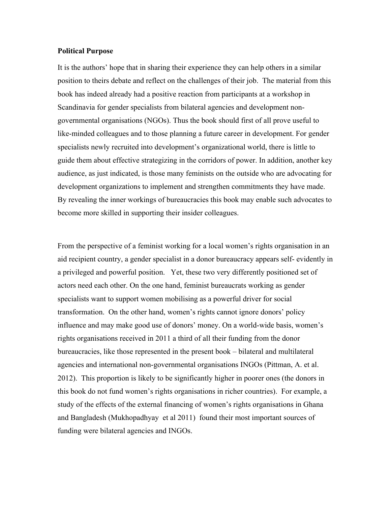#### **Political Purpose**

It is the authors' hope that in sharing their experience they can help others in a similar position to theirs debate and reflect on the challenges of their job. The material from this book has indeed already had a positive reaction from participants at a workshop in Scandinavia for gender specialists from bilateral agencies and development nongovernmental organisations (NGOs). Thus the book should first of all prove useful to like-minded colleagues and to those planning a future career in development. For gender specialists newly recruited into development's organizational world, there is little to guide them about effective strategizing in the corridors of power. In addition, another key audience, as just indicated, is those many feminists on the outside who are advocating for development organizations to implement and strengthen commitments they have made. By revealing the inner workings of bureaucracies this book may enable such advocates to become more skilled in supporting their insider colleagues.

From the perspective of a feminist working for a local women's rights organisation in an aid recipient country, a gender specialist in a donor bureaucracy appears self- evidently in a privileged and powerful position. Yet, these two very differently positioned set of actors need each other. On the one hand, feminist bureaucrats working as gender specialists want to support women mobilising as a powerful driver for social transformation. On the other hand, women's rights cannot ignore donors' policy influence and may make good use of donors' money. On a world-wide basis, women's rights organisations received in 2011 a third of all their funding from the donor bureaucracies, like those represented in the present book – bilateral and multilateral agencies and international non-governmental organisations INGOs (Pittman, A. et al. 2012). This proportion is likely to be significantly higher in poorer ones (the donors in this book do not fund women's rights organisations in richer countries). For example, a study of the effects of the external financing of women's rights organisations in Ghana and Bangladesh (Mukhopadhyay et al 2011) found their most important sources of funding were bilateral agencies and INGOs.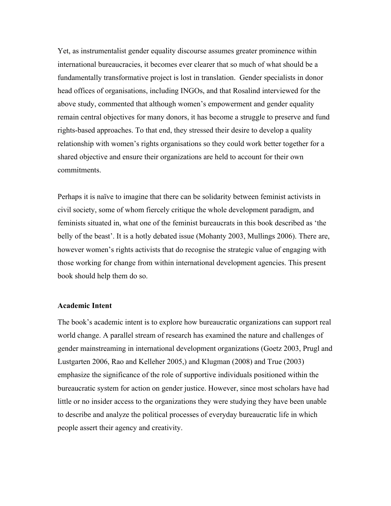Yet, as instrumentalist gender equality discourse assumes greater prominence within international bureaucracies, it becomes ever clearer that so much of what should be a fundamentally transformative project is lost in translation. Gender specialists in donor head offices of organisations, including INGOs, and that Rosalind interviewed for the above study, commented that although women's empowerment and gender equality remain central objectives for many donors, it has become a struggle to preserve and fund rights-based approaches. To that end, they stressed their desire to develop a quality relationship with women's rights organisations so they could work better together for a shared objective and ensure their organizations are held to account for their own commitments.

Perhaps it is naïve to imagine that there can be solidarity between feminist activists in civil society, some of whom fiercely critique the whole development paradigm, and feminists situated in, what one of the feminist bureaucrats in this book described as 'the belly of the beast'. It is a hotly debated issue (Mohanty 2003, Mullings 2006). There are, however women's rights activists that do recognise the strategic value of engaging with those working for change from within international development agencies. This present book should help them do so.

### **Academic Intent**

The book's academic intent is to explore how bureaucratic organizations can support real world change. A parallel stream of research has examined the nature and challenges of gender mainstreaming in international development organizations (Goetz 2003, Prugl and Lustgarten 2006, Rao and Kelleher 2005,) and Klugman (2008) and True (2003) emphasize the significance of the role of supportive individuals positioned within the bureaucratic system for action on gender justice. However, since most scholars have had little or no insider access to the organizations they were studying they have been unable to describe and analyze the political processes of everyday bureaucratic life in which people assert their agency and creativity.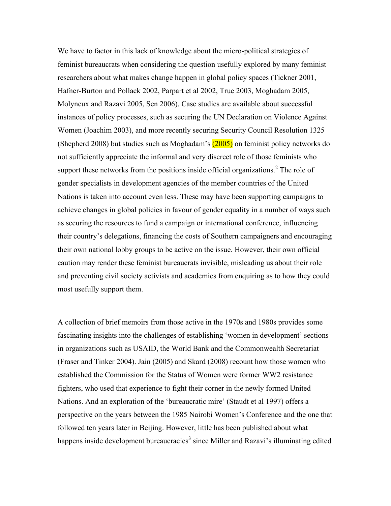We have to factor in this lack of knowledge about the micro-political strategies of feminist bureaucrats when considering the question usefully explored by many feminist researchers about what makes change happen in global policy spaces (Tickner 2001, Hafner-Burton and Pollack 2002, Parpart et al 2002, True 2003, Moghadam 2005, Molyneux and Razavi 2005, Sen 2006). Case studies are available about successful instances of policy processes, such as securing the UN Declaration on Violence Against Women (Joachim 2003), and more recently securing Security Council Resolution 1325 (Shepherd 2008) but studies such as Moghadam's  $(2005)$  on feminist policy networks do not sufficiently appreciate the informal and very discreet role of those feminists who support these networks from the positions inside official organizations.<sup>2</sup> The role of gender specialists in development agencies of the member countries of the United Nations is taken into account even less. These may have been supporting campaigns to achieve changes in global policies in favour of gender equality in a number of ways such as securing the resources to fund a campaign or international conference, influencing their country's delegations, financing the costs of Southern campaigners and encouraging their own national lobby groups to be active on the issue. However, their own official caution may render these feminist bureaucrats invisible, misleading us about their role and preventing civil society activists and academics from enquiring as to how they could most usefully support them.

A collection of brief memoirs from those active in the 1970s and 1980s provides some fascinating insights into the challenges of establishing 'women in development' sections in organizations such as USAID, the World Bank and the Commonwealth Secretariat (Fraser and Tinker 2004). Jain (2005) and Skard (2008) recount how those women who established the Commission for the Status of Women were former WW2 resistance fighters, who used that experience to fight their corner in the newly formed United Nations. And an exploration of the 'bureaucratic mire' (Staudt et al 1997) offers a perspective on the years between the 1985 Nairobi Women's Conference and the one that followed ten years later in Beijing. However, little has been published about what happens inside development bureaucracies<sup>3</sup> since Miller and Razavi's illuminating edited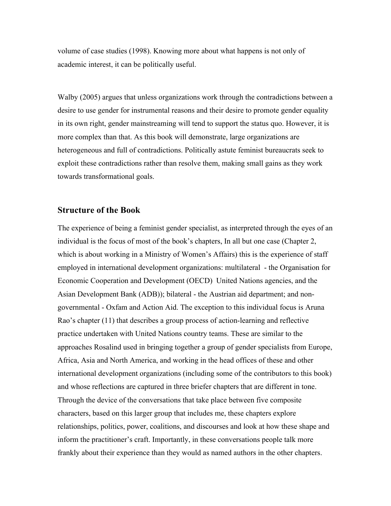volume of case studies (1998). Knowing more about what happens is not only of academic interest, it can be politically useful.

Walby (2005) argues that unless organizations work through the contradictions between a desire to use gender for instrumental reasons and their desire to promote gender equality in its own right, gender mainstreaming will tend to support the status quo. However, it is more complex than that. As this book will demonstrate, large organizations are heterogeneous and full of contradictions. Politically astute feminist bureaucrats seek to exploit these contradictions rather than resolve them, making small gains as they work towards transformational goals.

## **Structure of the Book**

The experience of being a feminist gender specialist, as interpreted through the eyes of an individual is the focus of most of the book's chapters, In all but one case (Chapter 2, which is about working in a Ministry of Women's Affairs) this is the experience of staff employed in international development organizations: multilateral - the Organisation for Economic Cooperation and Development (OECD) United Nations agencies, and the Asian Development Bank (ADB)); bilateral - the Austrian aid department; and nongovernmental - Oxfam and Action Aid. The exception to this individual focus is Aruna Rao's chapter (11) that describes a group process of action-learning and reflective practice undertaken with United Nations country teams. These are similar to the approaches Rosalind used in bringing together a group of gender specialists from Europe, Africa, Asia and North America, and working in the head offices of these and other international development organizations (including some of the contributors to this book) and whose reflections are captured in three briefer chapters that are different in tone. Through the device of the conversations that take place between five composite characters, based on this larger group that includes me, these chapters explore relationships, politics, power, coalitions, and discourses and look at how these shape and inform the practitioner's craft. Importantly, in these conversations people talk more frankly about their experience than they would as named authors in the other chapters.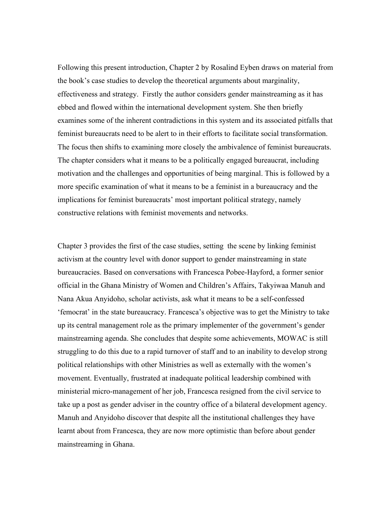Following this present introduction, Chapter 2 by Rosalind Eyben draws on material from the book's case studies to develop the theoretical arguments about marginality, effectiveness and strategy. Firstly the author considers gender mainstreaming as it has ebbed and flowed within the international development system. She then briefly examines some of the inherent contradictions in this system and its associated pitfalls that feminist bureaucrats need to be alert to in their efforts to facilitate social transformation. The focus then shifts to examining more closely the ambivalence of feminist bureaucrats. The chapter considers what it means to be a politically engaged bureaucrat, including motivation and the challenges and opportunities of being marginal. This is followed by a more specific examination of what it means to be a feminist in a bureaucracy and the implications for feminist bureaucrats' most important political strategy, namely constructive relations with feminist movements and networks.

Chapter 3 provides the first of the case studies, setting the scene by linking feminist activism at the country level with donor support to gender mainstreaming in state bureaucracies. Based on conversations with Francesca Pobee-Hayford, a former senior official in the Ghana Ministry of Women and Children's Affairs, Takyiwaa Manuh and Nana Akua Anyidoho, scholar activists, ask what it means to be a self-confessed 'femocrat' in the state bureaucracy. Francesca's objective was to get the Ministry to take up its central management role as the primary implementer of the government's gender mainstreaming agenda. She concludes that despite some achievements, MOWAC is still struggling to do this due to a rapid turnover of staff and to an inability to develop strong political relationships with other Ministries as well as externally with the women's movement. Eventually, frustrated at inadequate political leadership combined with ministerial micro-management of her job, Francesca resigned from the civil service to take up a post as gender adviser in the country office of a bilateral development agency. Manuh and Anyidoho discover that despite all the institutional challenges they have learnt about from Francesca, they are now more optimistic than before about gender mainstreaming in Ghana.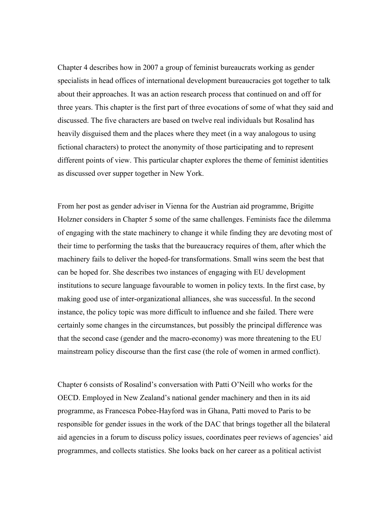Chapter 4 describes how in 2007 a group of feminist bureaucrats working as gender specialists in head offices of international development bureaucracies got together to talk about their approaches. It was an action research process that continued on and off for three years. This chapter is the first part of three evocations of some of what they said and discussed. The five characters are based on twelve real individuals but Rosalind has heavily disguised them and the places where they meet (in a way analogous to using fictional characters) to protect the anonymity of those participating and to represent different points of view. This particular chapter explores the theme of feminist identities as discussed over supper together in New York.

From her post as gender adviser in Vienna for the Austrian aid programme, Brigitte Holzner considers in Chapter 5 some of the same challenges. Feminists face the dilemma of engaging with the state machinery to change it while finding they are devoting most of their time to performing the tasks that the bureaucracy requires of them, after which the machinery fails to deliver the hoped-for transformations. Small wins seem the best that can be hoped for. She describes two instances of engaging with EU development institutions to secure language favourable to women in policy texts. In the first case, by making good use of inter-organizational alliances, she was successful. In the second instance, the policy topic was more difficult to influence and she failed. There were certainly some changes in the circumstances, but possibly the principal difference was that the second case (gender and the macro-economy) was more threatening to the EU mainstream policy discourse than the first case (the role of women in armed conflict).

Chapter 6 consists of Rosalind's conversation with Patti O'Neill who works for the OECD. Employed in New Zealand's national gender machinery and then in its aid programme, as Francesca Pobee-Hayford was in Ghana, Patti moved to Paris to be responsible for gender issues in the work of the DAC that brings together all the bilateral aid agencies in a forum to discuss policy issues, coordinates peer reviews of agencies' aid programmes, and collects statistics. She looks back on her career as a political activist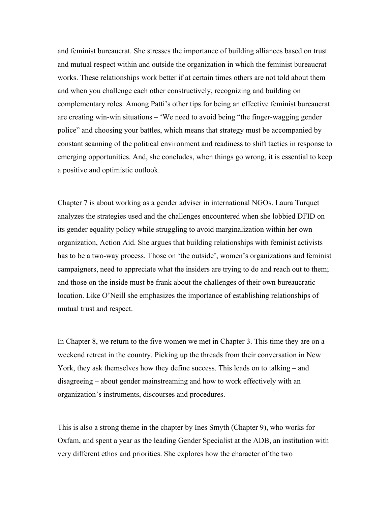and feminist bureaucrat. She stresses the importance of building alliances based on trust and mutual respect within and outside the organization in which the feminist bureaucrat works. These relationships work better if at certain times others are not told about them and when you challenge each other constructively, recognizing and building on complementary roles. Among Patti's other tips for being an effective feminist bureaucrat are creating win-win situations – 'We need to avoid being "the finger-wagging gender police" and choosing your battles, which means that strategy must be accompanied by constant scanning of the political environment and readiness to shift tactics in response to emerging opportunities. And, she concludes, when things go wrong, it is essential to keep a positive and optimistic outlook.

Chapter 7 is about working as a gender adviser in international NGOs. Laura Turquet analyzes the strategies used and the challenges encountered when she lobbied DFID on its gender equality policy while struggling to avoid marginalization within her own organization, Action Aid. She argues that building relationships with feminist activists has to be a two-way process. Those on 'the outside', women's organizations and feminist campaigners, need to appreciate what the insiders are trying to do and reach out to them; and those on the inside must be frank about the challenges of their own bureaucratic location. Like O'Neill she emphasizes the importance of establishing relationships of mutual trust and respect.

In Chapter 8, we return to the five women we met in Chapter 3. This time they are on a weekend retreat in the country. Picking up the threads from their conversation in New York, they ask themselves how they define success. This leads on to talking – and disagreeing – about gender mainstreaming and how to work effectively with an organization's instruments, discourses and procedures.

This is also a strong theme in the chapter by Ines Smyth (Chapter 9), who works for Oxfam, and spent a year as the leading Gender Specialist at the ADB, an institution with very different ethos and priorities. She explores how the character of the two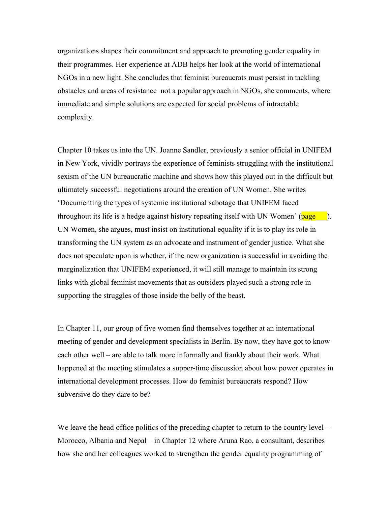organizations shapes their commitment and approach to promoting gender equality in their programmes. Her experience at ADB helps her look at the world of international NGOs in a new light. She concludes that feminist bureaucrats must persist in tackling obstacles and areas of resistance not a popular approach in NGOs, she comments, where immediate and simple solutions are expected for social problems of intractable complexity.

Chapter 10 takes us into the UN. Joanne Sandler, previously a senior official in UNIFEM in New York, vividly portrays the experience of feminists struggling with the institutional sexism of the UN bureaucratic machine and shows how this played out in the difficult but ultimately successful negotiations around the creation of UN Women. She writes 'Documenting the types of systemic institutional sabotage that UNIFEM faced throughout its life is a hedge against history repeating itself with UN Women' ( $page\_\_\$ ). UN Women, she argues, must insist on institutional equality if it is to play its role in transforming the UN system as an advocate and instrument of gender justice. What she does not speculate upon is whether, if the new organization is successful in avoiding the marginalization that UNIFEM experienced, it will still manage to maintain its strong links with global feminist movements that as outsiders played such a strong role in supporting the struggles of those inside the belly of the beast.

In Chapter 11, our group of five women find themselves together at an international meeting of gender and development specialists in Berlin. By now, they have got to know each other well – are able to talk more informally and frankly about their work. What happened at the meeting stimulates a supper-time discussion about how power operates in international development processes. How do feminist bureaucrats respond? How subversive do they dare to be?

We leave the head office politics of the preceding chapter to return to the country level – Morocco, Albania and Nepal – in Chapter 12 where Aruna Rao, a consultant, describes how she and her colleagues worked to strengthen the gender equality programming of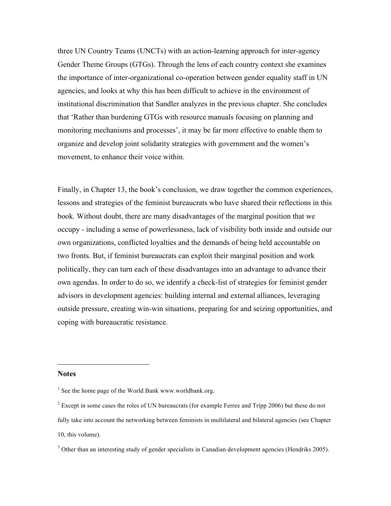three UN Country Teams (UNCTs) with an action-learning approach for inter-agency Gender Theme Groups (GTGs). Through the lens of each country context she examines the importance of inter-organizational co-operation between gender equality staff in UN agencies, and looks at why this has been difficult to achieve in the environment of institutional discrimination that Sandler analyzes in the previous chapter. She concludes that 'Rather than burdening GTGs with resource manuals focusing on planning and monitoring mechanisms and processes', it may be far more effective to enable them to organize and develop joint solidarity strategies with government and the women's movement, to enhance their voice within.

Finally, in Chapter 13, the book's conclusion, we draw together the common experiences, lessons and strategies of the feminist bureaucrats who have shared their reflections in this book. Without doubt, there are many disadvantages of the marginal position that we occupy - including a sense of powerlessness, lack of visibility both inside and outside our own organizations, conflicted loyalties and the demands of being held accountable on two fronts. But, if feminist bureaucrats can exploit their marginal position and work politically, they can turn each of these disadvantages into an advantage to advance their own agendas. In order to do so, we identify a check-list of strategies for feminist gender advisors in development agencies: building internal and external alliances, leveraging outside pressure, creating win-win situations, preparing for and seizing opportunities, and coping with bureaucratic resistance.

#### **Notes**

-

 $<sup>1</sup>$  See the home page of the World Bank www.worldbank.org.</sup>

 $2^{2}$  Except in some cases the roles of UN bureaucrats (for example Ferree and Tripp 2006) but these do not fully take into account the networking between feminists in multilateral and bilateral agencies (see Chapter 10, this volume).

 $3$  Other than an interesting study of gender specialists in Canadian development agencies (Hendriks 2005).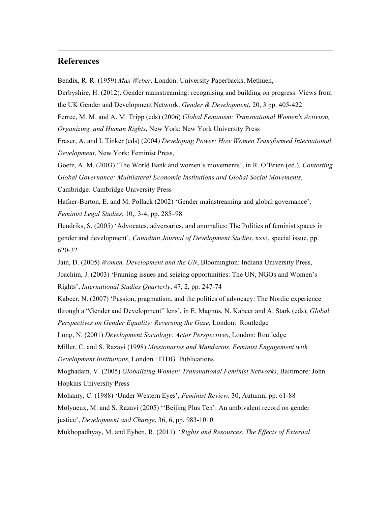# **References**

-

Bendix, R. R. (1959) *Max Weber,* London: University Paperbacks, Methuen,

Derbyshire, H. (2012). Gender mainstreaming: recognising and building on progress. Views from the UK Gender and Development Network. *Gender & Development*, 20, 3 pp. 405-422 Ferree, M. M. and A. M. Tripp (eds) (2006) *Global Feminism: Transnational Women's Activism,* 

*Organizing, and Human Rights*, New York: New York University Press

Fraser, A. and I. Tinker (eds) (2004) *Developing Power: How Women Transformed International Development*, New York: Feminist Press,

Goetz, A. M. (2003) 'The World Bank and women's movements', in R. O'Brien (ed.), *Contesting Global Governance: Multilateral Economic Institutions and Global Social Movements*,

Cambridge: Cambridge University Press

Hafner-Burton, E. and M. Pollack (2002) 'Gender mainstreaming and global governance', *Feminist Legal Studies*, 10,. 3-4, pp. 285–98

Hendriks, S. (2005) 'Advocates, adversaries, and anomalies: The Politics of feminist spaces in gender and development', *Canadian Journal of Development Studies*, xxvi, special issue, pp. 620-32

Jain, D. (2005) *Women, Development and the UN*, Bloomington: Indiana University Press,

Joachim, J. (2003) 'Framing issues and seizing opportunities: The UN, NGOs and Women's Rights', *International Studies Quarterly*, 47, 2, pp. 247-74

Kabeer, N. (2007) 'Passion, pragmatism, and the politics of advocacy: The Nordic experience through a "Gender and Development" lens', in E. Magnus, N. Kabeer and A. Stark (eds), *Global Perspectives on Gender Equality: Reversing the Gaze*, London: Routledge

Long, N. (2001) *Development Sociology: Actor Perspectives*, London: Routledge

Miller, C. and S. Razavi (1998) *Missionaries and Mandarins. Feminist Engagement with Development Institutions*, London : ITDG Publications

Moghadam, V. (2005) *Globalizing Women: Transnational Feminist Networks*, Baltimore: John Hopkins University Press

Mohanty, C. (1988) 'Under Western Eyes', *Feminist Review,* 30, Autumn, pp. 61-88 Molyneux, M. and S. Razavi (2005) ''Beijing Plus Ten': An ambivalent record on gender justice', *Development and Change*, 36, 6, pp. 983-1010

Mukhopadhyay, M. and Eyben, R. (2011) '*Rights and Resources. The Effects of External*